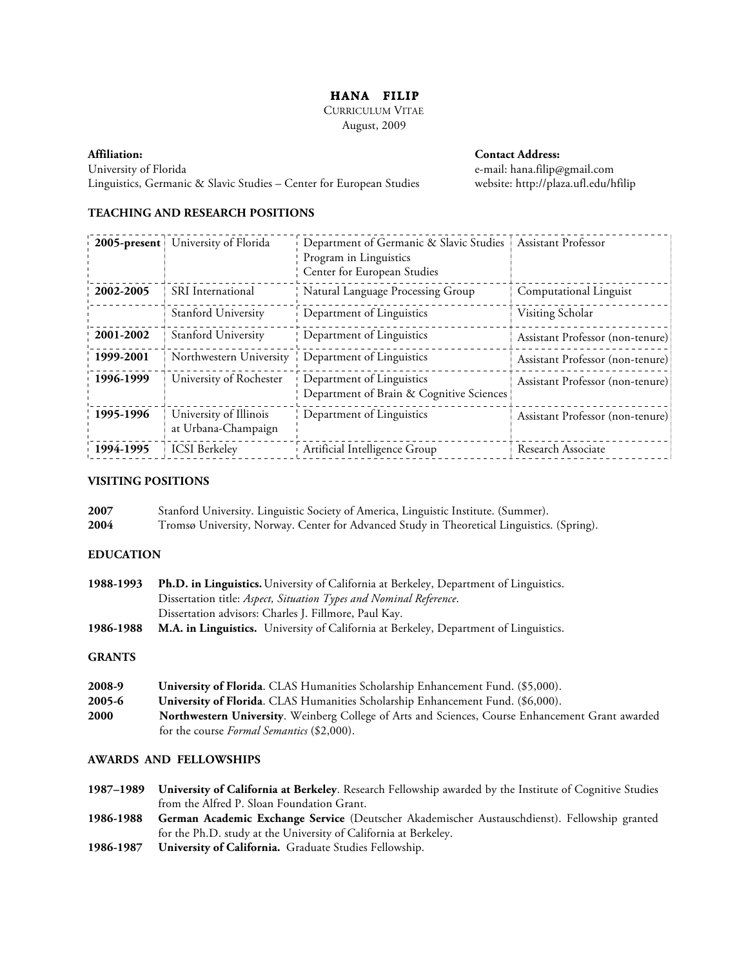# **HANA FILIP**

CURRICULUM VITAE August, 2009

**Affiliation: Contact Address:** University of Florida e-mail: hana.filip@gmail.com Linguistics, Germanic & Slavic Studies – Center for European Studies website: http://plaza.ufl.edu/hfilip

# **TEACHING AND RESEARCH POSITIONS**

| $2005$ -present | University of Florida                         | Department of Germanic & Slavic Studies<br>Program in Linguistics<br>Center for European Studies | <b>Assistant Professor</b>       |
|-----------------|-----------------------------------------------|--------------------------------------------------------------------------------------------------|----------------------------------|
| 2002-2005       | <b>SRI</b> International                      | Natural Language Processing Group                                                                | Computational Linguist           |
|                 | Stanford University                           | Department of Linguistics                                                                        | Visiting Scholar                 |
| 2001-2002       | Stanford University                           | Department of Linguistics                                                                        | Assistant Professor (non-tenure) |
| 1999-2001       | Northwestern University                       | Department of Linguistics                                                                        | Assistant Professor (non-tenure) |
| 1996-1999       | University of Rochester                       | Department of Linguistics<br>Department of Brain & Cognitive Sciences                            | Assistant Professor (non-tenure) |
| 1995-1996       | University of Illinois<br>at Urbana-Champaign | Department of Linguistics                                                                        | Assistant Professor (non-tenure) |
| 1994-1995       | <b>ICSI</b> Berkeley                          | Artificial Intelligence Group                                                                    | Research Associate               |

## **VISITING POSITIONS**

| 2007 | Stanford University. Linguistic Society of America, Linguistic Institute. (Summer).        |
|------|--------------------------------------------------------------------------------------------|
| 2004 | Tromsø University, Norway. Center for Advanced Study in Theoretical Linguistics. (Spring). |

## **EDUCATION**

| 1988-1993     | Ph.D. in Linguistics. University of California at Berkeley, Department of Linguistics.           |
|---------------|--------------------------------------------------------------------------------------------------|
|               | Dissertation title: Aspect, Situation Types and Nominal Reference.                               |
|               | Dissertation advisors: Charles J. Fillmore, Paul Kay.                                            |
| 1986-1988     | <b>M.A. in Linguistics.</b> University of California at Berkeley, Department of Linguistics.     |
| <b>GRANTS</b> |                                                                                                  |
| 2008-9        | <b>University of Florida.</b> CLAS Humanities Scholarship Enhancement Fund. (\$5,000).           |
| 2005-6        | University of Florida. CLAS Humanities Scholarship Enhancement Fund. (\$6,000).                  |
| <b>2000</b>   | Northwestern University. Weinberg College of Arts and Sciences, Course Enhancement Grant awarded |
|               | for the course <i>Formal Semantics</i> (\$2,000).                                                |

# **AWARDS AND FELLOWSHIPS**

**1987–1989 University of California at Berkeley**. Research Fellowship awarded by the Institute of Cognitive Studies from the Alfred P. Sloan Foundation Grant.

- **1986-1988 German Academic Exchange Service** (Deutscher Akademischer Austauschdienst). Fellowship granted for the Ph.D. study at the University of California at Berkeley.
- **1986-1987 University of California.** Graduate Studies Fellowship.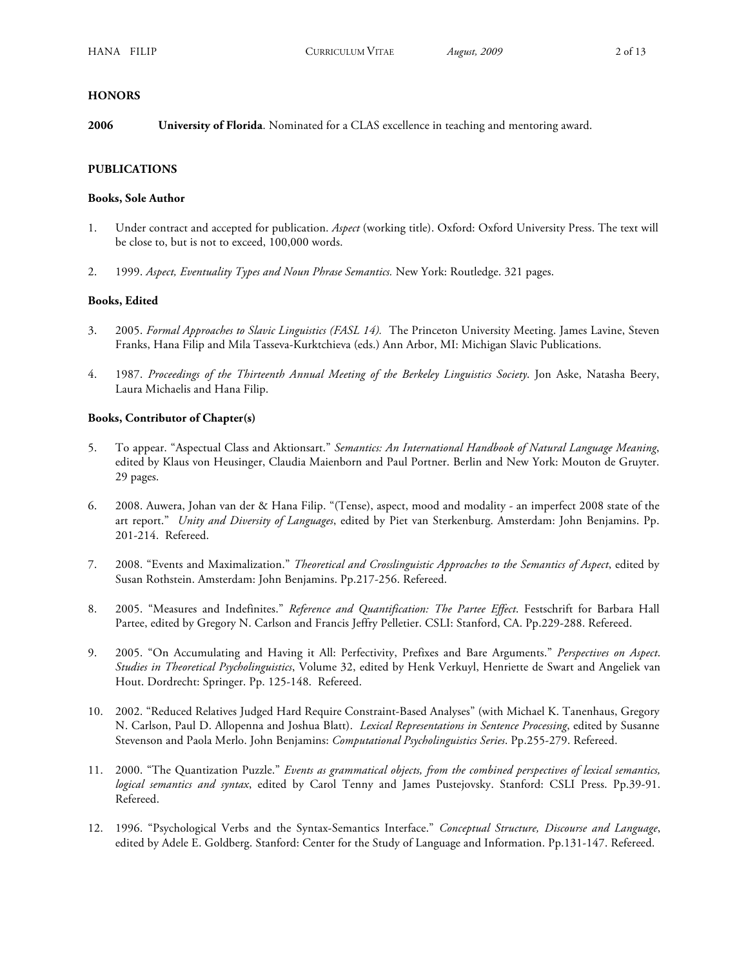#### **HONORS**

**2006 University of Florida**. Nominated for a CLAS excellence in teaching and mentoring award.

## **PUBLICATIONS**

#### **Books, Sole Author**

- 1. Under contract and accepted for publication. *Aspect* (working title). Oxford: Oxford University Press. The text will be close to, but is not to exceed, 100,000 words.
- 2. 1999. *Aspect, Eventuality Types and Noun Phrase Semantics.* New York: Routledge. 321 pages.

#### **Books, Edited**

- 3. 2005. *Formal Approaches to Slavic Linguistics (FASL 14).* The Princeton University Meeting. James Lavine, Steven Franks, Hana Filip and Mila Tasseva-Kurktchieva (eds.) Ann Arbor, MI: Michigan Slavic Publications.
- 4. 1987. *Proceedings of the Thirteenth Annual Meeting of the Berkeley Linguistics Society*. Jon Aske, Natasha Beery, Laura Michaelis and Hana Filip.

#### **Books, Contributor of Chapter(s)**

- 5. To appear. "Aspectual Class and Aktionsart." *Semantics: An International Handbook of Natural Language Meaning*, edited by Klaus von Heusinger, Claudia Maienborn and Paul Portner. Berlin and New York: Mouton de Gruyter. 29 pages.
- 6. 2008. Auwera, Johan van der & Hana Filip. "(Tense), aspect, mood and modality an imperfect 2008 state of the art report." *Unity and Diversity of Languages*, edited by Piet van Sterkenburg. Amsterdam: John Benjamins. Pp. 201-214. Refereed.
- 7. 2008. "Events and Maximalization." *Theoretical and Crosslinguistic Approaches to the Semantics of Aspect*, edited by Susan Rothstein. Amsterdam: John Benjamins. Pp.217-256. Refereed.
- 8. 2005. "Measures and Indefinites." *Reference and Quantification: The Partee Effect*. Festschrift for Barbara Hall Partee, edited by Gregory N. Carlson and Francis Jeffry Pelletier. CSLI: Stanford, CA. Pp.229-288. Refereed.
- 9. 2005. "On Accumulating and Having it All: Perfectivity, Prefixes and Bare Arguments." *Perspectives on Aspect*. *Studies in Theoretical Psycholinguistics*, Volume 32, edited by Henk Verkuyl, Henriette de Swart and Angeliek van Hout. Dordrecht: Springer. Pp. 125-148. Refereed.
- 10. 2002. "Reduced Relatives Judged Hard Require Constraint-Based Analyses" (with Michael K. Tanenhaus, Gregory N. Carlson, Paul D. Allopenna and Joshua Blatt). *Lexical Representations in Sentence Processing*, edited by Susanne Stevenson and Paola Merlo. John Benjamins: *Computational Psycholinguistics Series*. Pp.255-279. Refereed.
- 11. 2000. "The Quantization Puzzle." *Events as grammatical objects, from the combined perspectives of lexical semantics, logical semantics and syntax*, edited by Carol Tenny and James Pustejovsky. Stanford: CSLI Press. Pp.39-91. Refereed.
- 12. 1996. "Psychological Verbs and the Syntax-Semantics Interface." *Conceptual Structure, Discourse and Language*, edited by Adele E. Goldberg. Stanford: Center for the Study of Language and Information. Pp.131-147. Refereed.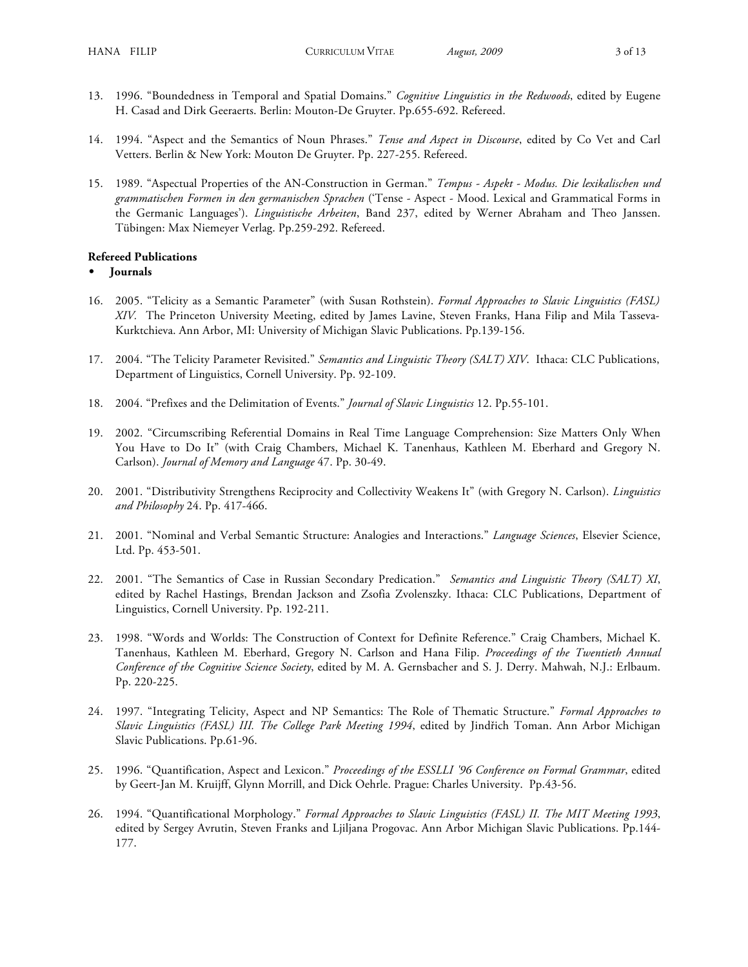- 13. 1996. "Boundedness in Temporal and Spatial Domains." *Cognitive Linguistics in the Redwoods*, edited by Eugene H. Casad and Dirk Geeraerts. Berlin: Mouton-De Gruyter. Pp.655-692. Refereed.
- 14. 1994. "Aspect and the Semantics of Noun Phrases." *Tense and Aspect in Discourse*, edited by Co Vet and Carl Vetters. Berlin & New York: Mouton De Gruyter. Pp. 227-255. Refereed.
- 15. 1989. "Aspectual Properties of the AN-Construction in German." *Tempus Aspekt Modus. Die lexikalischen und grammatischen Formen in den germanischen Sprachen* ('Tense - Aspect - Mood. Lexical and Grammatical Forms in the Germanic Languages'). *Linguistische Arbeiten*, Band 237, edited by Werner Abraham and Theo Janssen. Tübingen: Max Niemeyer Verlag. Pp.259-292. Refereed.

#### **Refereed Publications**

- **• Journals**
- 16. 2005. "Telicity as a Semantic Parameter" (with Susan Rothstein). *Formal Approaches to Slavic Linguistics (FASL) XIV.* The Princeton University Meeting, edited by James Lavine, Steven Franks, Hana Filip and Mila Tasseva-Kurktchieva. Ann Arbor, MI: University of Michigan Slavic Publications. Pp.139-156.
- 17. 2004. "The Telicity Parameter Revisited." *Semantics and Linguistic Theory (SALT) XIV*. Ithaca: CLC Publications, Department of Linguistics, Cornell University. Pp. 92-109.
- 18. 2004. "Prefixes and the Delimitation of Events." *Journal of Slavic Linguistics* 12. Pp.55-101.
- 19. 2002. "Circumscribing Referential Domains in Real Time Language Comprehension: Size Matters Only When You Have to Do It" (with Craig Chambers, Michael K. Tanenhaus, Kathleen M. Eberhard and Gregory N. Carlson). *Journal of Memory and Language* 47. Pp. 30-49.
- 20. 2001. "Distributivity Strengthens Reciprocity and Collectivity Weakens It" (with Gregory N. Carlson). *Linguistics and Philosophy* 24. Pp. 417-466.
- 21. 2001. "Nominal and Verbal Semantic Structure: Analogies and Interactions." *Language Sciences*, Elsevier Science, Ltd. Pp. 453-501.
- 22. 2001. "The Semantics of Case in Russian Secondary Predication." *Semantics and Linguistic Theory (SALT) XI*, edited by Rachel Hastings, Brendan Jackson and Zsofia Zvolenszky. Ithaca: CLC Publications, Department of Linguistics, Cornell University. Pp. 192-211.
- 23. 1998. "Words and Worlds: The Construction of Context for Definite Reference." Craig Chambers, Michael K. Tanenhaus, Kathleen M. Eberhard, Gregory N. Carlson and Hana Filip. *Proceedings of the Twentieth Annual Conference of the Cognitive Science Society*, edited by M. A. Gernsbacher and S. J. Derry. Mahwah, N.J.: Erlbaum. Pp. 220-225.
- 24. 1997. "Integrating Telicity, Aspect and NP Semantics: The Role of Thematic Structure." *Formal Approaches to Slavic Linguistics (FASL) III. The College Park Meeting 1994*, edited by Jindřich Toman. Ann Arbor Michigan Slavic Publications. Pp.61-96.
- 25. 1996. "Quantification, Aspect and Lexicon." *Proceedings of the ESSLLI '96 Conference on Formal Grammar*, edited by Geert-Jan M. Kruijff, Glynn Morrill, and Dick Oehrle. Prague: Charles University. Pp.43-56.
- 26. 1994. "Quantificational Morphology." *Formal Approaches to Slavic Linguistics (FASL) II. The MIT Meeting 1993*, edited by Sergey Avrutin, Steven Franks and Ljiljana Progovac. Ann Arbor Michigan Slavic Publications. Pp.144- 177.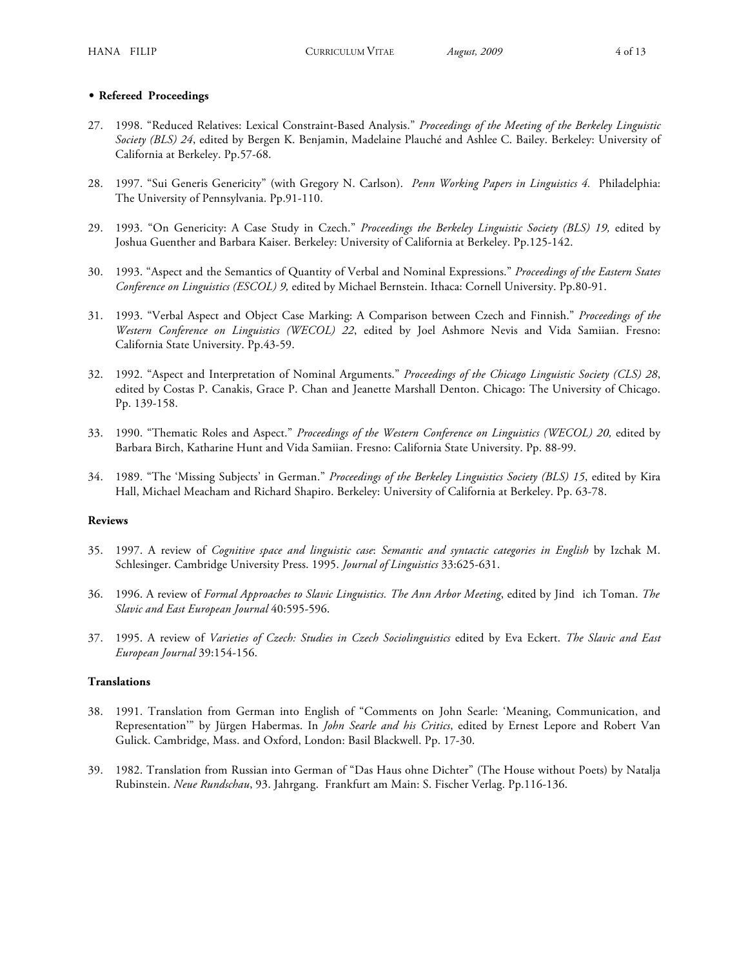#### **• Refereed Proceedings**

- 27. 1998. "Reduced Relatives: Lexical Constraint-Based Analysis." *Proceedings of the Meeting of the Berkeley Linguistic Society (BLS) 24*, edited by Bergen K. Benjamin, Madelaine Plauché and Ashlee C. Bailey. Berkeley: University of California at Berkeley. Pp.57-68.
- 28. 1997. "Sui Generis Genericity" (with Gregory N. Carlson). *Penn Working Papers in Linguistics 4.* Philadelphia: The University of Pennsylvania. Pp.91-110.
- 29. 1993. "On Genericity: A Case Study in Czech." *Proceedings the Berkeley Linguistic Society (BLS) 19,* edited by Joshua Guenther and Barbara Kaiser. Berkeley: University of California at Berkeley. Pp.125-142.
- 30. 1993. "Aspect and the Semantics of Quantity of Verbal and Nominal Expressions." *Proceedings of the Eastern States Conference on Linguistics (ESCOL) 9,* edited by Michael Bernstein. Ithaca: Cornell University. Pp.80-91.
- 31. 1993. "Verbal Aspect and Object Case Marking: A Comparison between Czech and Finnish." *Proceedings of the Western Conference on Linguistics (WECOL) 22*, edited by Joel Ashmore Nevis and Vida Samiian. Fresno: California State University. Pp.43-59.
- 32. 1992. "Aspect and Interpretation of Nominal Arguments." *Proceedings of the Chicago Linguistic Society (CLS) 28*, edited by Costas P. Canakis, Grace P. Chan and Jeanette Marshall Denton. Chicago: The University of Chicago. Pp. 139-158.
- 33. 1990. "Thematic Roles and Aspect." *Proceedings of the Western Conference on Linguistics (WECOL) 20,* edited by Barbara Birch, Katharine Hunt and Vida Samiian. Fresno: California State University. Pp. 88-99.
- 34. 1989. "The 'Missing Subjects' in German." *Proceedings of the Berkeley Linguistics Society (BLS) 15*, edited by Kira Hall, Michael Meacham and Richard Shapiro. Berkeley: University of California at Berkeley. Pp. 63-78.

#### **Reviews**

- 35. 1997. A review of *Cognitive space and linguistic case*: *Semantic and syntactic categories in English* by Izchak M. Schlesinger. Cambridge University Press. 1995. *Journal of Linguistics* 33:625-631.
- 36. 1996. A review of *Formal Approaches to Slavic Linguistics. The Ann Arbor Meeting*, edited by Jindich Toman. *The Slavic and East European Journal* 40:595-596.
- 37. 1995. A review of *Varieties of Czech: Studies in Czech Sociolinguistics* edited by Eva Eckert. *The Slavic and East European Journal* 39:154-156.

#### **Translations**

- 38. 1991. Translation from German into English of "Comments on John Searle: 'Meaning, Communication, and Representation'" by Jürgen Habermas. In *John Searle and his Critics*, edited by Ernest Lepore and Robert Van Gulick. Cambridge, Mass. and Oxford, London: Basil Blackwell. Pp. 17-30.
- 39. 1982. Translation from Russian into German of "Das Haus ohne Dichter" (The House without Poets) by Natalja Rubinstein. *Neue Rundschau*, 93. Jahrgang. Frankfurt am Main: S. Fischer Verlag. Pp.116-136.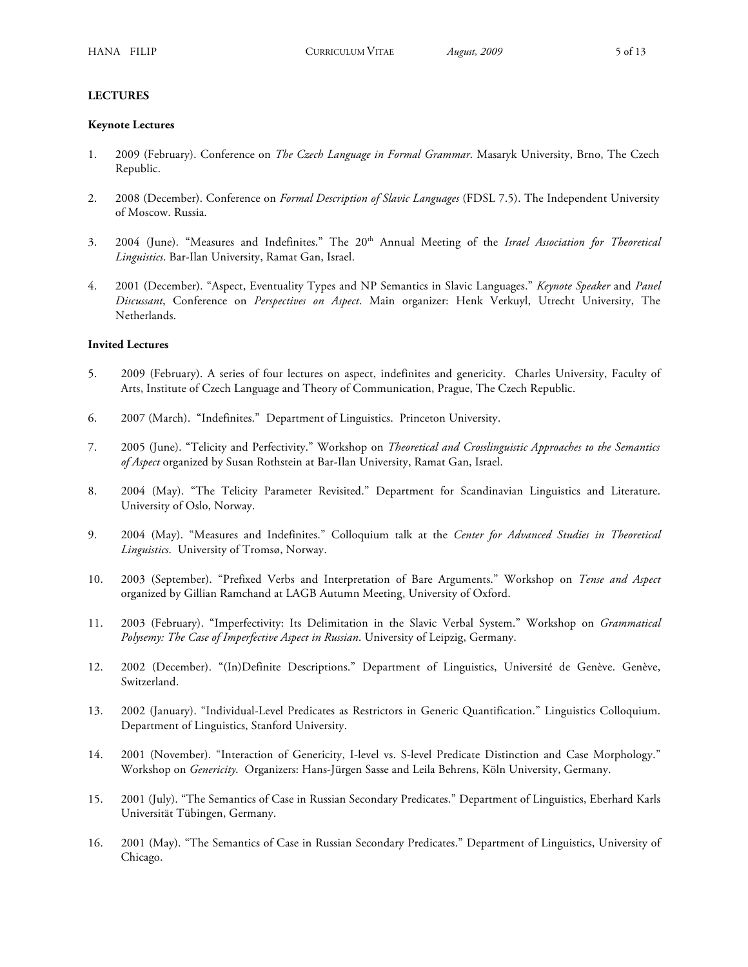#### **LECTURES**

#### **Keynote Lectures**

- 1. 2009 (February). Conference on *The Czech Language in Formal Grammar*. Masaryk University, Brno, The Czech Republic.
- 2. 2008 (December). Conference on *Formal Description of Slavic Languages* (FDSL 7.5). The Independent University of Moscow. Russia.
- 3. 2004 (June). "Measures and Indefinites." The 20th Annual Meeting of the *Israel Association for Theoretical Linguistics*. Bar-Ilan University, Ramat Gan, Israel.
- 4. 2001 (December). "Aspect, Eventuality Types and NP Semantics in Slavic Languages." *Keynote Speaker* and *Panel Discussant*, Conference on *Perspectives on Aspect*. Main organizer: Henk Verkuyl, Utrecht University, The Netherlands.

#### **Invited Lectures**

- 5. 2009 (February). A series of four lectures on aspect, indefinites and genericity. Charles University, Faculty of Arts, Institute of Czech Language and Theory of Communication, Prague, The Czech Republic.
- 6. 2007 (March). "Indefinites." Department of Linguistics. Princeton University.
- 7. 2005 (June). "Telicity and Perfectivity." Workshop on *Theoretical and Crosslinguistic Approaches to the Semantics of Aspect* organized by Susan Rothstein at Bar-Ilan University, Ramat Gan, Israel.
- 8. 2004 (May). "The Telicity Parameter Revisited." Department for Scandinavian Linguistics and Literature. University of Oslo, Norway.
- 9. 2004 (May). "Measures and Indefinites." Colloquium talk at the *Center for Advanced Studies in Theoretical Linguistics*. University of Tromsø, Norway.
- 10. 2003 (September). "Prefixed Verbs and Interpretation of Bare Arguments." Workshop on *Tense and Aspect* organized by Gillian Ramchand at LAGB Autumn Meeting, University of Oxford.
- 11. 2003 (February). "Imperfectivity: Its Delimitation in the Slavic Verbal System." Workshop on *Grammatical Polysemy: The Case of Imperfective Aspect in Russian*. University of Leipzig, Germany.
- 12. 2002 (December). "(In)Definite Descriptions." Department of Linguistics, Université de Genève. Genève, Switzerland.
- 13. 2002 (January). "Individual-Level Predicates as Restrictors in Generic Quantification." Linguistics Colloquium. Department of Linguistics, Stanford University.
- 14. 2001 (November). "Interaction of Genericity, I-level vs. S-level Predicate Distinction and Case Morphology." Workshop on *Genericity*. Organizers: Hans-Jürgen Sasse and Leila Behrens, Köln University, Germany.
- 15. 2001 (July). "The Semantics of Case in Russian Secondary Predicates." Department of Linguistics, Eberhard Karls Universität Tübingen, Germany.
- 16. 2001 (May). "The Semantics of Case in Russian Secondary Predicates." Department of Linguistics, University of Chicago.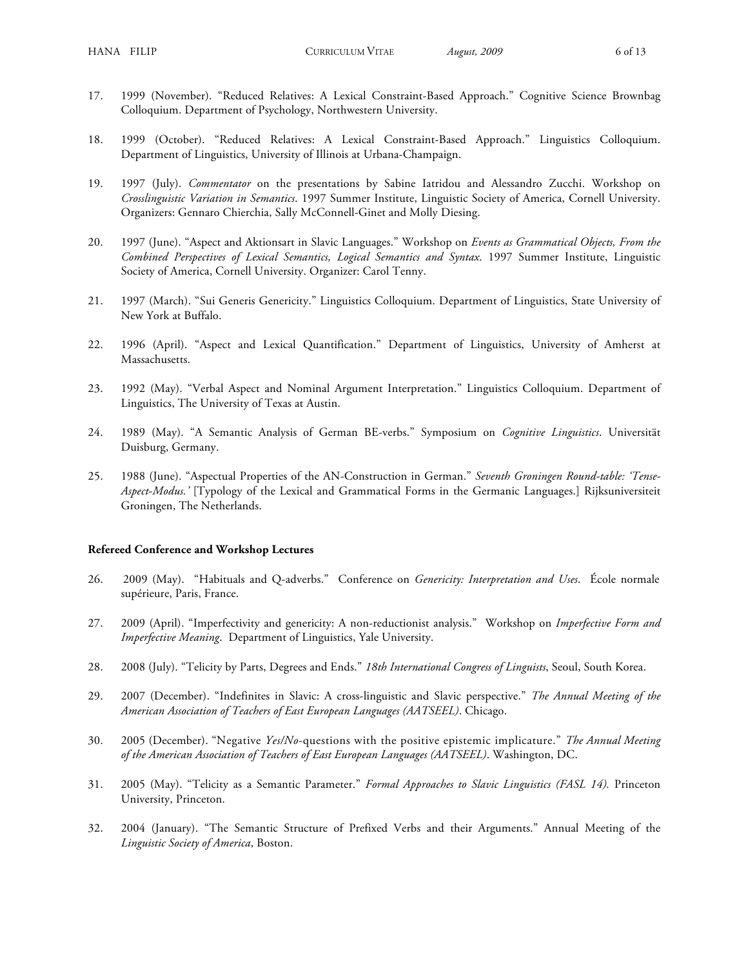- 17. 1999 (November). "Reduced Relatives: A Lexical Constraint-Based Approach." Cognitive Science Brownbag Colloquium. Department of Psychology, Northwestern University.
- 18. 1999 (October). "Reduced Relatives: A Lexical Constraint-Based Approach." Linguistics Colloquium. Department of Linguistics, University of Illinois at Urbana-Champaign.
- 19. 1997 (July). *Commentator* on the presentations by Sabine Iatridou and Alessandro Zucchi. Workshop on *Crosslinguistic Variation in Semantics*. 1997 Summer Institute, Linguistic Society of America, Cornell University. Organizers: Gennaro Chierchia, Sally McConnell-Ginet and Molly Diesing.
- 20. 1997 (June). "Aspect and Aktionsart in Slavic Languages." Workshop on *Events as Grammatical Objects, From the Combined Perspectives of Lexical Semantics, Logical Semantics and Syntax*. 1997 Summer Institute, Linguistic Society of America, Cornell University. Organizer: Carol Tenny.
- 21. 1997 (March). "Sui Generis Genericity." Linguistics Colloquium. Department of Linguistics, State University of New York at Buffalo.
- 22. 1996 (April). "Aspect and Lexical Quantification." Department of Linguistics, University of Amherst at Massachusetts.
- 23. 1992 (May). "Verbal Aspect and Nominal Argument Interpretation." Linguistics Colloquium. Department of Linguistics, The University of Texas at Austin.
- 24. 1989 (May). "A Semantic Analysis of German BE-verbs." Symposium on *Cognitive Linguistics*. Universität Duisburg, Germany.
- 25. 1988 (June). "Aspectual Properties of the AN-Construction in German." *Seventh Groningen Round-table: 'Tense-Aspect*-*Modus.'* [Typology of the Lexical and Grammatical Forms in the Germanic Languages.] Rijksuniversiteit Groningen, The Netherlands.

#### **Refereed Conference and Workshop Lectures**

- 26. 2009 (May). "Habituals and Q-adverbs." Conference on *Genericity: Interpretation and Uses*. École normale supérieure, Paris, France.
- 27. 2009 (April). "Imperfectivity and genericity: A non-reductionist analysis." Workshop on *Imperfective Form and Imperfective Meaning*. Department of Linguistics, Yale University.
- 28. 2008 (July). "Telicity by Parts, Degrees and Ends." *18th International Congress of Linguists*, Seoul, South Korea.
- 29. 2007 (December). "Indefinites in Slavic: A cross-linguistic and Slavic perspective." *The Annual Meeting of the American Association of Teachers of East European Languages (AATSEEL)*. Chicago.
- 30. 2005 (December). "Negative *Yes/No*-questions with the positive epistemic implicature." *The Annual Meeting of the American Association of Teachers of East European Languages (AATSEEL)*. Washington, DC.
- 31. 2005 (May). "Telicity as a Semantic Parameter." *Formal Approaches to Slavic Linguistics (FASL 14).* Princeton University, Princeton.
- 32. 2004 (January). "The Semantic Structure of Prefixed Verbs and their Arguments." Annual Meeting of the *Linguistic Society of America*, Boston.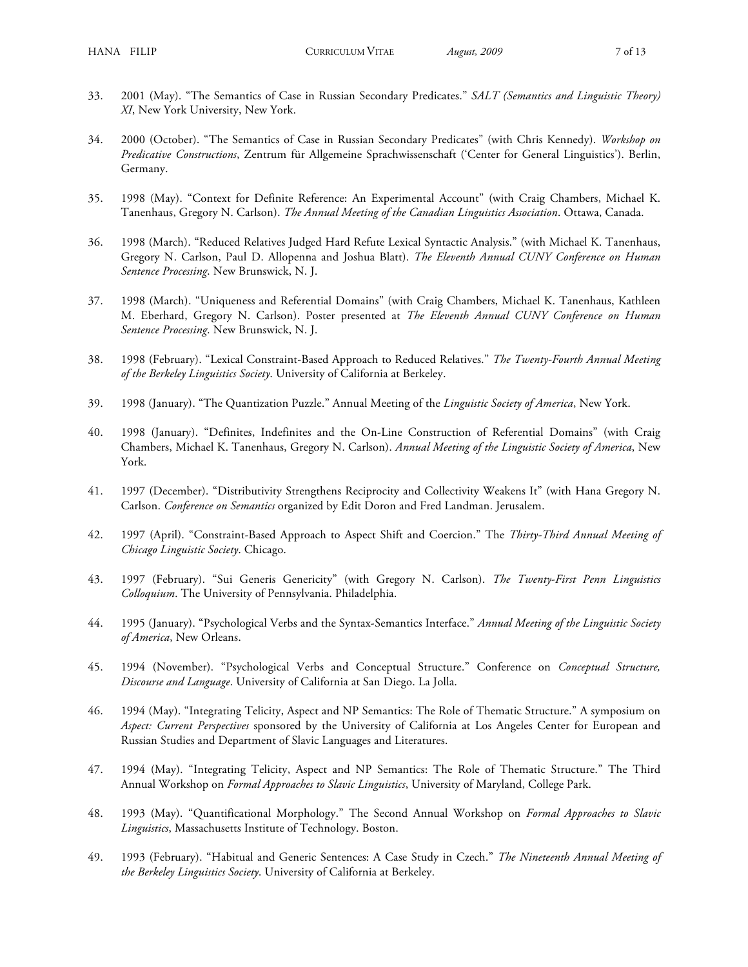- 33. 2001 (May). "The Semantics of Case in Russian Secondary Predicates." *SALT (Semantics and Linguistic Theory) XI*, New York University, New York.
- 34. 2000 (October). "The Semantics of Case in Russian Secondary Predicates" (with Chris Kennedy). *Workshop on Predicative Constructions*, Zentrum für Allgemeine Sprachwissenschaft ('Center for General Linguistics'). Berlin, Germany.
- 35. 1998 (May). "Context for Definite Reference: An Experimental Account" (with Craig Chambers, Michael K. Tanenhaus, Gregory N. Carlson). *The Annual Meeting of the Canadian Linguistics Association*. Ottawa, Canada.
- 36. 1998 (March). "Reduced Relatives Judged Hard Refute Lexical Syntactic Analysis." (with Michael K. Tanenhaus, Gregory N. Carlson, Paul D. Allopenna and Joshua Blatt). *The Eleventh Annual CUNY Conference on Human Sentence Processing*. New Brunswick, N. J.
- 37. 1998 (March). "Uniqueness and Referential Domains" (with Craig Chambers, Michael K. Tanenhaus, Kathleen M. Eberhard, Gregory N. Carlson). Poster presented at *The Eleventh Annual CUNY Conference on Human Sentence Processing*. New Brunswick, N. J.
- 38. 1998 (February). "Lexical Constraint-Based Approach to Reduced Relatives." *The Twenty-Fourth Annual Meeting of the Berkeley Linguistics Society*. University of California at Berkeley.
- 39. 1998 (January). "The Quantization Puzzle." Annual Meeting of the *Linguistic Society of America*, New York.
- 40. 1998 (January). "Definites, Indefinites and the On-Line Construction of Referential Domains" (with Craig Chambers, Michael K. Tanenhaus, Gregory N. Carlson). *Annual Meeting of the Linguistic Society of America*, New York.
- 41. 1997 (December). "Distributivity Strengthens Reciprocity and Collectivity Weakens It" (with Hana Gregory N. Carlson. *Conference on Semantics* organized by Edit Doron and Fred Landman. Jerusalem.
- 42. 1997 (April). "Constraint-Based Approach to Aspect Shift and Coercion." The *Thirty-Third Annual Meeting of Chicago Linguistic Society*. Chicago.
- 43. 1997 (February). "Sui Generis Genericity" (with Gregory N. Carlson). *The Twenty-First Penn Linguistics Colloquium*. The University of Pennsylvania. Philadelphia.
- 44. 1995 (January). "Psychological Verbs and the Syntax-Semantics Interface." *Annual Meeting of the Linguistic Society of America*, New Orleans.
- 45. 1994 (November). "Psychological Verbs and Conceptual Structure." Conference on *Conceptual Structure, Discourse and Language*. University of California at San Diego. La Jolla.
- 46. 1994 (May). "Integrating Telicity, Aspect and NP Semantics: The Role of Thematic Structure." A symposium on *Aspect: Current Perspectives* sponsored by the University of California at Los Angeles Center for European and Russian Studies and Department of Slavic Languages and Literatures.
- 47. 1994 (May). "Integrating Telicity, Aspect and NP Semantics: The Role of Thematic Structure." The Third Annual Workshop on *Formal Approaches to Slavic Linguistics*, University of Maryland, College Park.
- 48. 1993 (May). "Quantificational Morphology." The Second Annual Workshop on *Formal Approaches to Slavic Linguistics*, Massachusetts Institute of Technology. Boston.
- 49. 1993 (February). "Habitual and Generic Sentences: A Case Study in Czech." *The Nineteenth Annual Meeting of the Berkeley Linguistics Society*. University of California at Berkeley.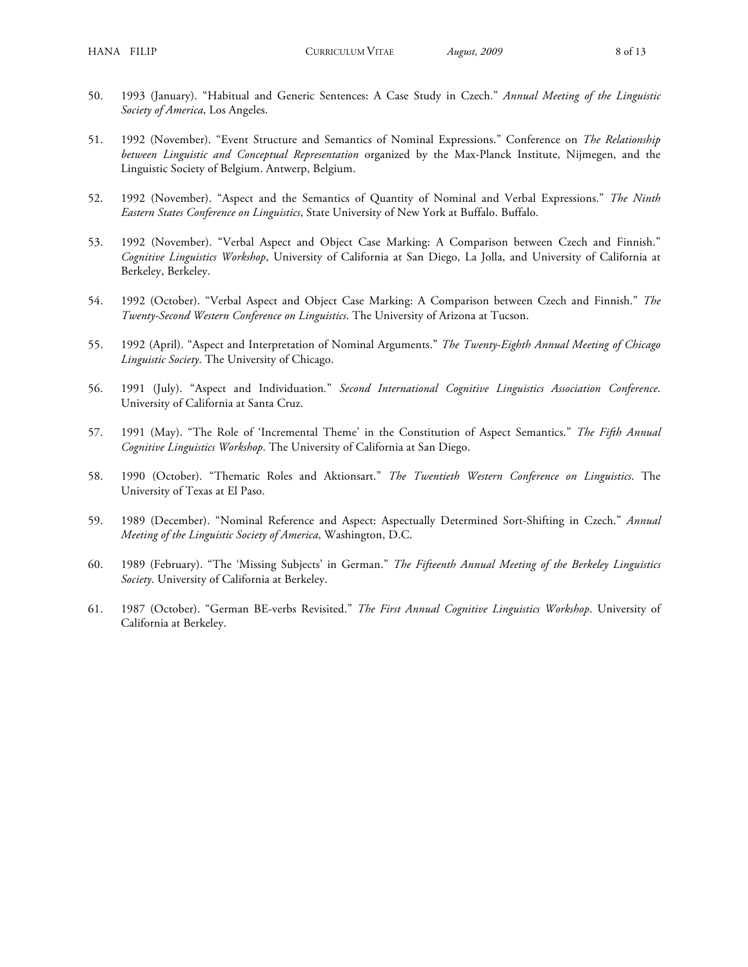- 50. 1993 (January). "Habitual and Generic Sentences: A Case Study in Czech." *Annual Meeting of the Linguistic Society of America*, Los Angeles.
- 51. 1992 (November). "Event Structure and Semantics of Nominal Expressions." Conference on *The Relationship between Linguistic and Conceptual Representation* organized by the Max-Planck Institute, Nijmegen, and the Linguistic Society of Belgium. Antwerp, Belgium.
- 52. 1992 (November). "Aspect and the Semantics of Quantity of Nominal and Verbal Expressions." *The Ninth Eastern States Conference on Linguistics*, State University of New York at Buffalo. Buffalo.
- 53. 1992 (November). "Verbal Aspect and Object Case Marking: A Comparison between Czech and Finnish." *Cognitive Linguistics Workshop*, University of California at San Diego, La Jolla, and University of California at Berkeley, Berkeley.
- 54. 1992 (October). "Verbal Aspect and Object Case Marking: A Comparison between Czech and Finnish." *The Twenty-Second Western Conference on Linguistics*. The University of Arizona at Tucson.
- 55. 1992 (April). "Aspect and Interpretation of Nominal Arguments." *The Twenty-Eighth Annual Meeting of Chicago Linguistic Society*. The University of Chicago.
- 56. 1991 (July). "Aspect and Individuation*.*" *Second International Cognitive Linguistics Association Conference*. University of California at Santa Cruz.
- 57. 1991 (May). "The Role of 'Incremental Theme' in the Constitution of Aspect Semantics." *The Fifth Annual Cognitive Linguistics Workshop*. The University of California at San Diego.
- 58. 1990 (October). "Thematic Roles and Aktionsart." *The Twentieth Western Conference on Linguistics*. The University of Texas at El Paso.
- 59. 1989 (December). "Nominal Reference and Aspect: Aspectually Determined Sort-Shifting in Czech." *Annual Meeting of the Linguistic Society of America*, Washington, D.C.
- 60. 1989 (February). "The 'Missing Subjects' in German." *The Fifteenth Annual Meeting of the Berkeley Linguistics Society*. University of California at Berkeley.
- 61. 1987 (October). "German BE-verbs Revisited." *The First Annual Cognitive Linguistics Workshop*. University of California at Berkeley.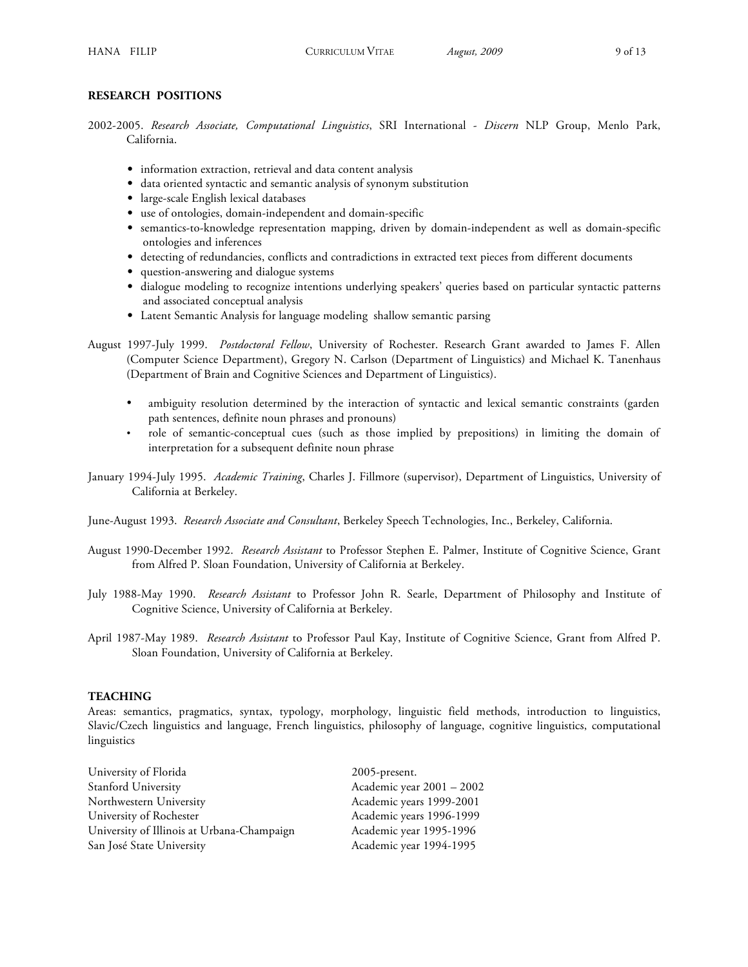## **RESEARCH POSITIONS**

2002-2005. *Research Associate, Computational Linguistics*, SRI International - *Discern* NLP Group, Menlo Park, California.

- **•** information extraction, retrieval and data content analysis
- **•** data oriented syntactic and semantic analysis of synonym substitution
- **•** large-scale English lexical databases
- **•** use of ontologies, domain-independent and domain-specific
- **•** semantics-to-knowledge representation mapping, driven by domain-independent as well as domain-specific ontologies and inferences
- detecting of redundancies, conflicts and contradictions in extracted text pieces from different documents
- **•** question-answering and dialogue systems
- **•** dialogue modeling to recognize intentions underlying speakers' queries based on particular syntactic patterns and associated conceptual analysis
- **•** Latent Semantic Analysis for language modelingshallow semantic parsing
- August 1997-July 1999. *Postdoctoral Fellow*, University of Rochester. Research Grant awarded to James F. Allen (Computer Science Department), Gregory N. Carlson (Department of Linguistics) and Michael K. Tanenhaus (Department of Brain and Cognitive Sciences and Department of Linguistics).
	- ambiguity resolution determined by the interaction of syntactic and lexical semantic constraints (garden path sentences, definite noun phrases and pronouns)
	- role of semantic-conceptual cues (such as those implied by prepositions) in limiting the domain of interpretation for a subsequent definite noun phrase
- January 1994-July 1995. *Academic Training*, Charles J. Fillmore (supervisor), Department of Linguistics, University of California at Berkeley.
- June-August 1993. *Research Associate and Consultant*, Berkeley Speech Technologies, Inc., Berkeley, California.
- August 1990-December 1992. *Research Assistant* to Professor Stephen E. Palmer, Institute of Cognitive Science, Grant from Alfred P. Sloan Foundation, University of California at Berkeley.
- July 1988-May 1990. *Research Assistant* to Professor John R. Searle, Department of Philosophy and Institute of Cognitive Science, University of California at Berkeley.
- April 1987-May 1989. *Research Assistant* to Professor Paul Kay, Institute of Cognitive Science, Grant from Alfred P. Sloan Foundation, University of California at Berkeley.

#### **TEACHING**

Areas: semantics, pragmatics, syntax, typology, morphology, linguistic field methods, introduction to linguistics, Slavic/Czech linguistics and language, French linguistics, philosophy of language, cognitive linguistics, computational linguistics

| University of Florida                      | $2005$ -present.          |
|--------------------------------------------|---------------------------|
| Stanford University                        | Academic year 2001 - 2002 |
| Northwestern University                    | Academic years 1999-2001  |
| University of Rochester                    | Academic years 1996-1999  |
| University of Illinois at Urbana-Champaign | Academic year 1995-1996   |
| San José State University                  | Academic year 1994-1995   |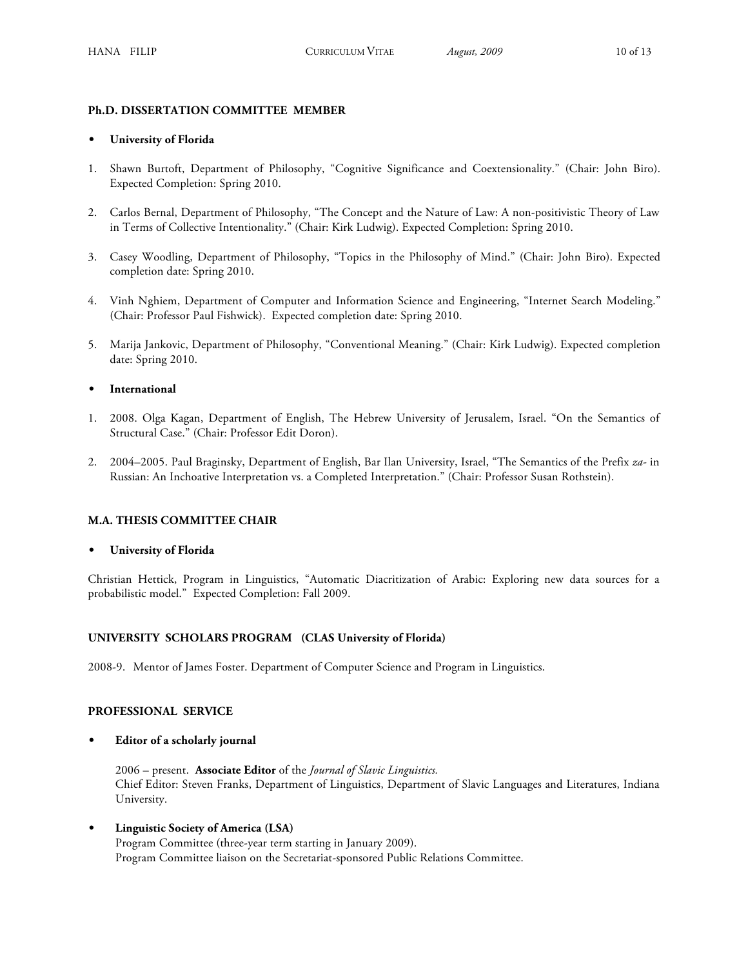# **Ph.D. DISSERTATION COMMITTEE MEMBER**

## **• University of Florida**

- 1. Shawn Burtoft, Department of Philosophy, "Cognitive Significance and Coextensionality." (Chair: John Biro). Expected Completion: Spring 2010.
- 2. Carlos Bernal, Department of Philosophy, "The Concept and the Nature of Law: A non-positivistic Theory of Law in Terms of Collective Intentionality." (Chair: Kirk Ludwig). Expected Completion: Spring 2010.
- 3. Casey Woodling, Department of Philosophy, "Topics in the Philosophy of Mind." (Chair: John Biro). Expected completion date: Spring 2010.
- 4. Vinh Nghiem, Department of Computer and Information Science and Engineering, "Internet Search Modeling." (Chair: Professor Paul Fishwick). Expected completion date: Spring 2010.
- 5. Marija Jankovic, Department of Philosophy, "Conventional Meaning." (Chair: Kirk Ludwig). Expected completion date: Spring 2010.

# **• International**

- 1. 2008. Olga Kagan, Department of English, The Hebrew University of Jerusalem, Israel. "On the Semantics of Structural Case." (Chair: Professor Edit Doron).
- 2. 2004–2005. Paul Braginsky, Department of English, Bar Ilan University, Israel, "The Semantics of the Prefix *za-* in Russian: An Inchoative Interpretation vs. a Completed Interpretation." (Chair: Professor Susan Rothstein).

# **M.A. THESIS COMMITTEE CHAIR**

**• University of Florida**

Christian Hettick, Program in Linguistics, "Automatic Diacritization of Arabic: Exploring new data sources for a probabilistic model." Expected Completion: Fall 2009.

# **UNIVERSITY SCHOLARS PROGRAM (CLAS University of Florida)**

2008-9. Mentor of James Foster. Department of Computer Science and Program in Linguistics.

## **PROFESSIONAL SERVICE**

**• Editor of a scholarly journal**

2006 – present. **Associate Editor** of the *Journal of Slavic Linguistics.* Chief Editor: Steven Franks, Department of Linguistics, Department of Slavic Languages and Literatures, Indiana University.

**• Linguistic Society of America (LSA)** Program Committee (three-year term starting in January 2009).

Program Committee liaison on the Secretariat-sponsored Public Relations Committee.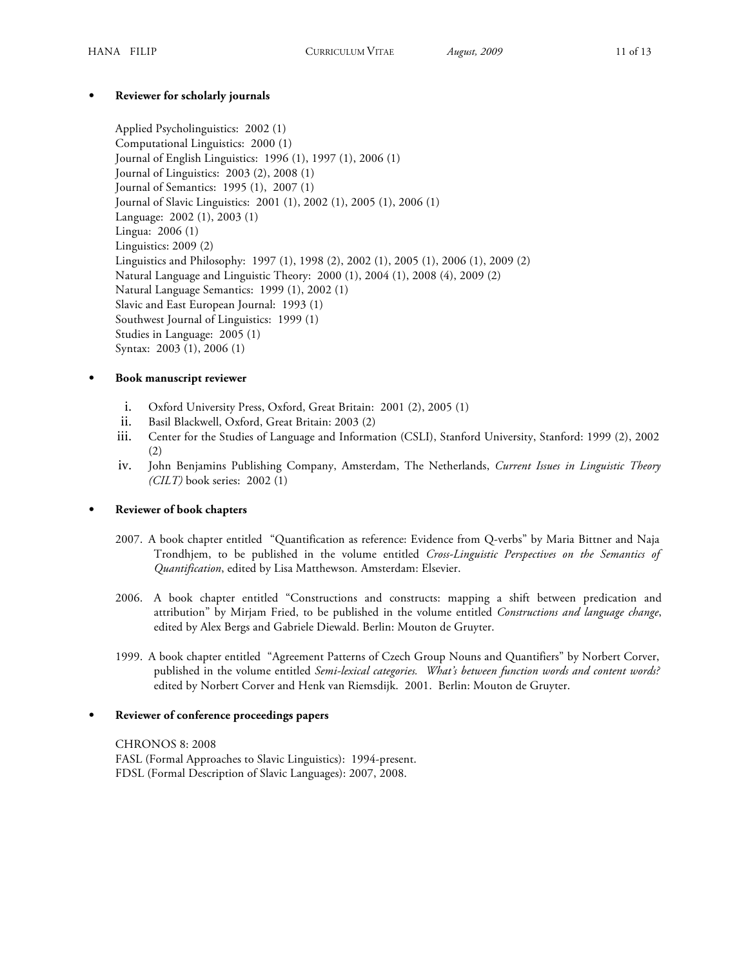# **• Reviewer for scholarly journals**

Applied Psycholinguistics: 2002 (1) Computational Linguistics: 2000 (1) Journal of English Linguistics: 1996 (1), 1997 (1), 2006 (1) Journal of Linguistics: 2003 (2), 2008 (1) Journal of Semantics: 1995 (1), 2007 (1) Journal of Slavic Linguistics: 2001 (1), 2002 (1), 2005 (1), 2006 (1) Language: 2002 (1), 2003 (1) Lingua: 2006 (1) Linguistics: 2009 (2) Linguistics and Philosophy: 1997 (1), 1998 (2), 2002 (1), 2005 (1), 2006 (1), 2009 (2) Natural Language and Linguistic Theory: 2000 (1), 2004 (1), 2008 (4), 2009 (2) Natural Language Semantics: 1999 (1), 2002 (1) Slavic and East European Journal: 1993 (1) Southwest Journal of Linguistics: 1999 (1) Studies in Language: 2005 (1) Syntax: 2003 (1), 2006 (1)

# **• Book manuscript reviewer**

- i. Oxford University Press, Oxford, Great Britain: 2001 (2), 2005 (1)
- ii. Basil Blackwell, Oxford, Great Britain: 2003 (2)
- iii. Center for the Studies of Language and Information (CSLI), Stanford University, Stanford: 1999 (2), 2002 (2)
- iv. John Benjamins Publishing Company, Amsterdam, The Netherlands, *Current Issues in Linguistic Theory (CILT)* book series: 2002 (1)

# **• Reviewer of book chapters**

- 2007. A book chapter entitled "Quantification as reference: Evidence from Q-verbs" by Maria Bittner and Naja Trondhjem, to be published in the volume entitled *Cross-Linguistic Perspectives on the Semantics of Quantification*, edited by Lisa Matthewson*.* Amsterdam: Elsevier.
- 2006. A book chapter entitled "Constructions and constructs: mapping a shift between predication and attribution" by Mirjam Fried, to be published in the volume entitled *Constructions and language change*, edited by Alex Bergs and Gabriele Diewald. Berlin: Mouton de Gruyter.
- 1999. A book chapter entitled "Agreement Patterns of Czech Group Nouns and Quantifiers" by Norbert Corver, published in the volume entitled *Semi-lexical categories. What's between function words and content words?* edited by Norbert Corver and Henk van Riemsdijk. 2001. Berlin: Mouton de Gruyter.

# **• Reviewer of conference proceedings papers**

CHRONOS 8: 2008 FASL (Formal Approaches to Slavic Linguistics): 1994-present. FDSL (Formal Description of Slavic Languages): 2007, 2008.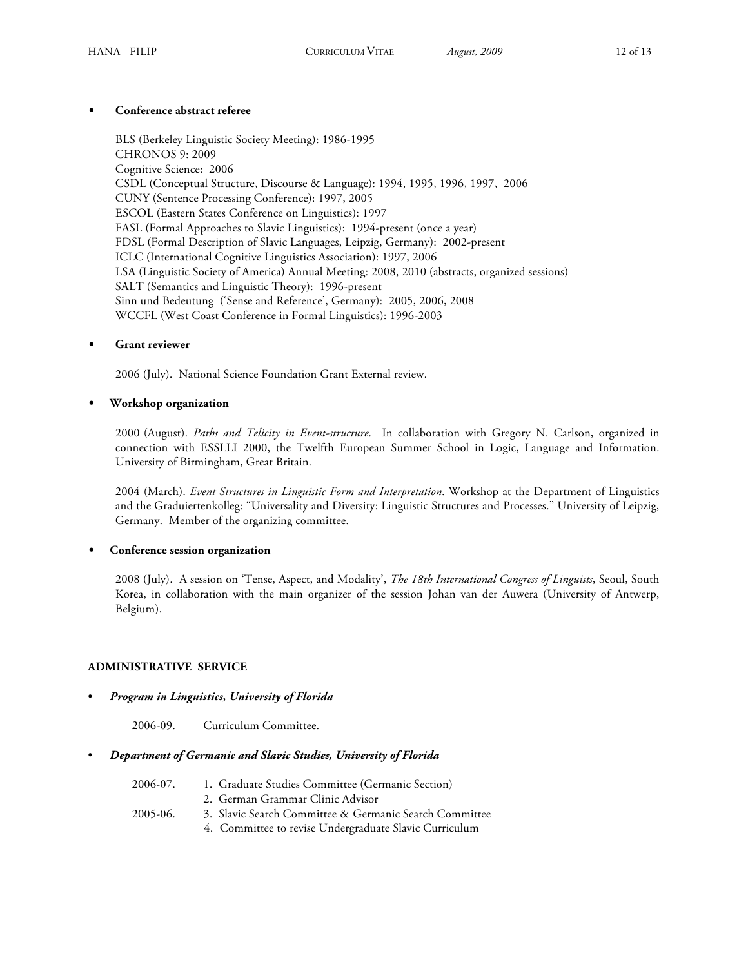# **• Conference abstract referee**

BLS (Berkeley Linguistic Society Meeting): 1986-1995 CHRONOS 9: 2009 Cognitive Science: 2006 CSDL (Conceptual Structure, Discourse & Language): 1994, 1995, 1996, 1997, 2006 CUNY (Sentence Processing Conference): 1997, 2005 ESCOL (Eastern States Conference on Linguistics): 1997 FASL (Formal Approaches to Slavic Linguistics): 1994-present (once a year) FDSL (Formal Description of Slavic Languages, Leipzig, Germany): 2002-present ICLC (International Cognitive Linguistics Association): 1997, 2006 LSA (Linguistic Society of America) Annual Meeting: 2008, 2010 (abstracts, organized sessions) SALT (Semantics and Linguistic Theory): 1996-present Sinn und Bedeutung ('Sense and Reference', Germany): 2005, 2006, 2008 WCCFL (West Coast Conference in Formal Linguistics): 1996-2003

# **• Grant reviewer**

2006 (July). National Science Foundation Grant External review.

# • **Workshop organization**

2000 (August). *Paths and Telicity in Event-structure*. In collaboration with Gregory N. Carlson, organized in connection with ESSLLI 2000, the Twelfth European Summer School in Logic, Language and Information. University of Birmingham, Great Britain.

2004 (March). *Event Structures in Linguistic Form and Interpretation*. Workshop at the Department of Linguistics and the Graduiertenkolleg: "Universality and Diversity: Linguistic Structures and Processes." University of Leipzig, Germany. Member of the organizing committee.

# **• Conference session organization**

2008 (July). A session on 'Tense, Aspect, and Modality', *The 18th International Congress of Linguists*, Seoul, South Korea, in collaboration with the main organizer of the session Johan van der Auwera (University of Antwerp, Belgium).

# **ADMINISTRATIVE SERVICE**

## • *Program in Linguistics, University of Florida*

2006-09. Curriculum Committee.

# • *Department of Germanic and Slavic Studies, University of Florida*

| 2006-07. | 1. Graduate Studies Committee (Germanic Section)       |
|----------|--------------------------------------------------------|
|          | 2. German Grammar Clinic Advisor                       |
| 2005-06. | 3. Slavic Search Committee & Germanic Search Committee |
|          | 4. Committee to revise Undergraduate Slavic Curriculum |